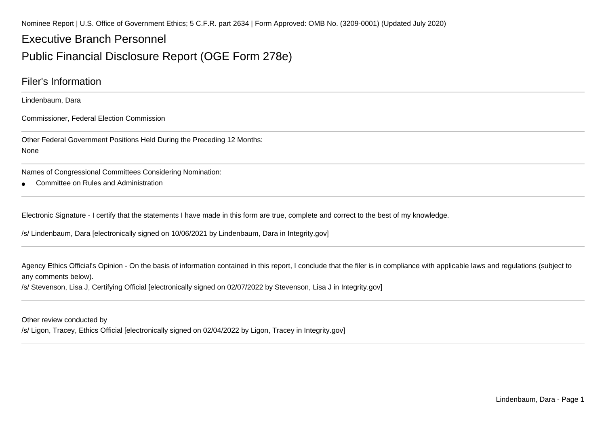Nominee Report | U.S. Office of Government Ethics; 5 C.F.R. part 2634 | Form Approved: OMB No. (3209-0001) (Updated July 2020)

## Executive Branch Personnel

## Public Financial Disclosure Report (OGE Form 278e)

### Filer's Information

Lindenbaum, Dara

Commissioner, Federal Election Commission

Other Federal Government Positions Held During the Preceding 12 Months:None

Names of Congressional Committees Considering Nomination:

●Committee on Rules and Administration

Electronic Signature - I certify that the statements I have made in this form are true, complete and correct to the best of my knowledge.

/s/ Lindenbaum, Dara [electronically signed on 10/06/2021 by Lindenbaum, Dara in Integrity.gov]

Agency Ethics Official's Opinion - On the basis of information contained in this report, I conclude that the filer is in compliance with applicable laws and regulations (subject to any comments below).

/s/ Stevenson, Lisa J, Certifying Official [electronically signed on 02/07/2022 by Stevenson, Lisa J in Integrity.gov]

Other review conducted by

/s/ Ligon, Tracey, Ethics Official [electronically signed on 02/04/2022 by Ligon, Tracey in Integrity.gov]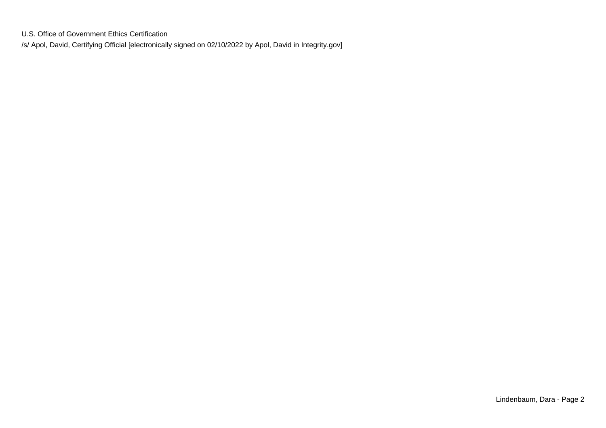U.S. Office of Government Ethics Certification/s/ Apol, David, Certifying Official [electronically signed on 02/10/2022 by Apol, David in Integrity.gov]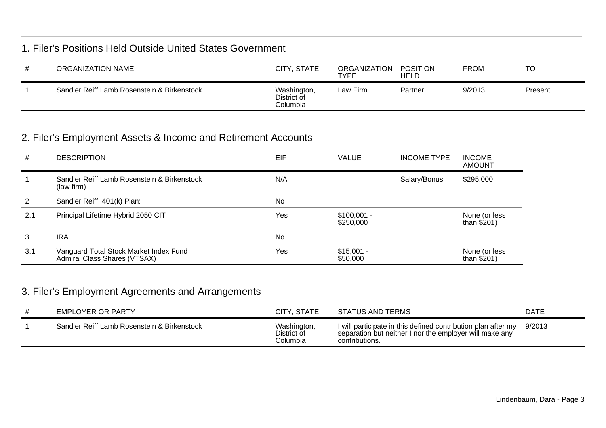### 1. Filer's Positions Held Outside United States Government

| ORGANIZATION NAME                           | CITY, STATE                            | ORGANIZATION<br>TYPE | POSITION<br><b>HELD</b> | FROM   | <b>TC</b> |
|---------------------------------------------|----------------------------------------|----------------------|-------------------------|--------|-----------|
| Sandler Reiff Lamb Rosenstein & Birkenstock | Washington,<br>District of<br>Columbia | Law Firm             | Partner                 | 9/2013 | Present   |

## 2. Filer's Employment Assets & Income and Retirement Accounts

| #   | <b>DESCRIPTION</b>                                                     | EIF | <b>VALUE</b>              | <b>INCOME TYPE</b> | <b>INCOME</b><br><b>AMOUNT</b> |
|-----|------------------------------------------------------------------------|-----|---------------------------|--------------------|--------------------------------|
|     | Sandler Reiff Lamb Rosenstein & Birkenstock<br>(law firm)              | N/A |                           | Salary/Bonus       | \$295,000                      |
| 2   | Sandler Reiff, 401(k) Plan:                                            | No  |                           |                    |                                |
| 2.1 | Principal Lifetime Hybrid 2050 CIT                                     | Yes | $$100,001 -$<br>\$250,000 |                    | None (or less<br>than $$201)$  |
| 3   | <b>IRA</b>                                                             | No  |                           |                    |                                |
| 3.1 | Vanguard Total Stock Market Index Fund<br>Admiral Class Shares (VTSAX) | Yes | $$15,001 -$<br>\$50,000   |                    | None (or less<br>than $$201)$  |

## 3. Filer's Employment Agreements and Arrangements

| EMPLOYER OR PARTY                           | CITY, STATE                            | STATUS AND TERMS                                                                                                                           | <b>DATE</b> |
|---------------------------------------------|----------------------------------------|--------------------------------------------------------------------------------------------------------------------------------------------|-------------|
| Sandler Reiff Lamb Rosenstein & Birkenstock | Washington,<br>District of<br>Columbia | I will participate in this defined contribution plan after my<br>separation but neither I nor the employer will make any<br>contributions. | 9/2013      |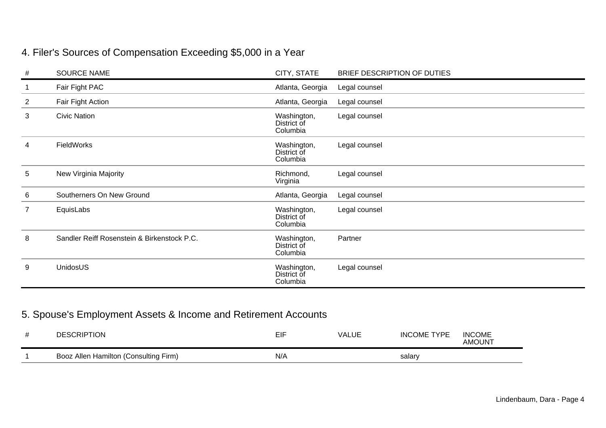# 4. Filer's Sources of Compensation Exceeding \$5,000 in a Year

| #              | <b>SOURCE NAME</b>                          | CITY, STATE                            | BRIEF DESCRIPTION OF DUTIES |
|----------------|---------------------------------------------|----------------------------------------|-----------------------------|
|                | Fair Fight PAC                              | Atlanta, Georgia                       | Legal counsel               |
| $\overline{2}$ | Fair Fight Action                           | Atlanta, Georgia                       | Legal counsel               |
| 3              | <b>Civic Nation</b>                         | Washington,<br>District of<br>Columbia | Legal counsel               |
| 4              | <b>FieldWorks</b>                           | Washington,<br>District of<br>Columbia | Legal counsel               |
| 5              | New Virginia Majority                       | Richmond,<br>Virginia                  | Legal counsel               |
| 6              | Southerners On New Ground                   | Atlanta, Georgia                       | Legal counsel               |
| $\overline{7}$ | EquisLabs                                   | Washington,<br>District of<br>Columbia | Legal counsel               |
| 8              | Sandler Reiff Rosenstein & Birkenstock P.C. | Washington,<br>District of<br>Columbia | Partner                     |
| 9              | UnidosUS                                    | Washington,<br>District of<br>Columbia | Legal counsel               |

## 5. Spouse's Employment Assets & Income and Retirement Accounts

| <b>DESCRIPTION</b>                    | EIF | <b>VALUE</b> | <b>INCOME TYPE</b> | <b>INCOME</b><br><b>AMOUNT</b> |
|---------------------------------------|-----|--------------|--------------------|--------------------------------|
| Booz Allen Hamilton (Consulting Firm) | N/A |              | salary             |                                |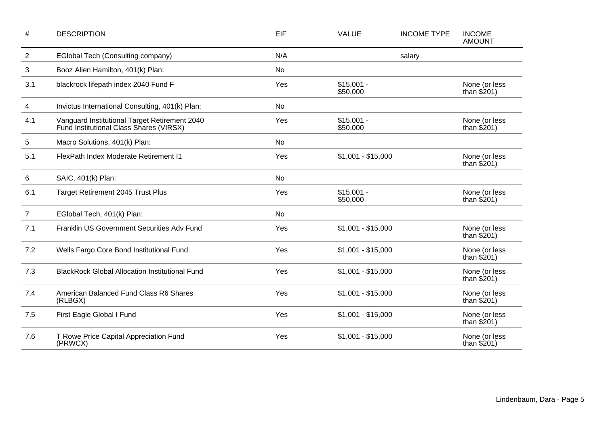| $\#$           | <b>DESCRIPTION</b>                                                                       | EIF       | <b>VALUE</b>            | <b>INCOME TYPE</b> | <b>INCOME</b><br><b>AMOUNT</b> |
|----------------|------------------------------------------------------------------------------------------|-----------|-------------------------|--------------------|--------------------------------|
| $\overline{c}$ | EGlobal Tech (Consulting company)                                                        | N/A       |                         | salary             |                                |
| 3              | Booz Allen Hamilton, 401(k) Plan:                                                        | <b>No</b> |                         |                    |                                |
| 3.1            | blackrock lifepath index 2040 Fund F                                                     | Yes       | $$15,001 -$<br>\$50,000 |                    | None (or less<br>than $$201)$  |
| 4              | Invictus International Consulting, 401(k) Plan:                                          | No        |                         |                    |                                |
| 4.1            | Vanguard Institutional Target Retirement 2040<br>Fund Institutional Class Shares (VIRSX) | Yes       | $$15,001 -$<br>\$50,000 |                    | None (or less<br>than $$201)$  |
| 5              | Macro Solutions, 401(k) Plan:                                                            | <b>No</b> |                         |                    |                                |
| 5.1            | FlexPath Index Moderate Retirement I1                                                    | Yes       | $$1,001 - $15,000$      |                    | None (or less<br>than $$201)$  |
| 6              | SAIC, 401(k) Plan:                                                                       | No        |                         |                    |                                |
| 6.1            | <b>Target Retirement 2045 Trust Plus</b>                                                 | Yes       | $$15,001 -$<br>\$50,000 |                    | None (or less<br>than $$201)$  |
| $\overline{7}$ | EGlobal Tech, 401(k) Plan:                                                               | <b>No</b> |                         |                    |                                |
| 7.1            | Franklin US Government Securities Adv Fund                                               | Yes       | $$1,001 - $15,000$      |                    | None (or less<br>than $$201)$  |
| 7.2            | Wells Fargo Core Bond Institutional Fund                                                 | Yes       | $$1,001 - $15,000$      |                    | None (or less<br>than $$201)$  |
| 7.3            | <b>BlackRock Global Allocation Institutional Fund</b>                                    | Yes       | $$1,001 - $15,000$      |                    | None (or less<br>than $$201)$  |
| 7.4            | American Balanced Fund Class R6 Shares<br>(RLBGX)                                        | Yes       | $$1,001 - $15,000$      |                    | None (or less<br>than $$201)$  |
| 7.5            | First Eagle Global I Fund                                                                | Yes       | $$1,001 - $15,000$      |                    | None (or less<br>than $$201)$  |
| 7.6            | T Rowe Price Capital Appreciation Fund<br>(PRWCX)                                        | Yes       | $$1,001 - $15,000$      |                    | None (or less<br>than $$201)$  |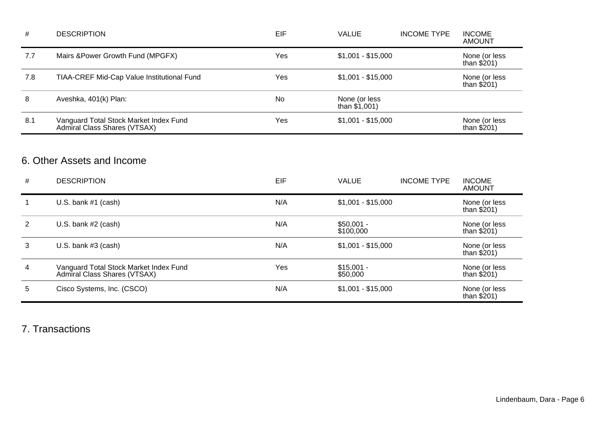| #   | <b>DESCRIPTION</b>                                                     | EIF | <b>VALUE</b>                     | <b>INCOME TYPE</b> | <b>INCOME</b><br><b>AMOUNT</b> |
|-----|------------------------------------------------------------------------|-----|----------------------------------|--------------------|--------------------------------|
| 7.7 | Mairs & Power Growth Fund (MPGFX)                                      | Yes | $$1,001 - $15,000$               |                    | None (or less<br>than $$201)$  |
| 7.8 | TIAA-CREF Mid-Cap Value Institutional Fund                             | Yes | $$1,001 - $15,000$               |                    | None (or less<br>than $$201)$  |
| 8   | Aveshka, 401(k) Plan:                                                  | No  | None (or less<br>than $$1,001$ ) |                    |                                |
| 8.1 | Vanguard Total Stock Market Index Fund<br>Admiral Class Shares (VTSAX) | Yes | $$1,001 - $15,000$               |                    | None (or less<br>than $$201)$  |

## 6. Other Assets and Income

| # | <b>DESCRIPTION</b>                                                     | EIF | <b>VALUE</b>             | <b>INCOME TYPE</b> | <b>INCOME</b><br><b>AMOUNT</b> |
|---|------------------------------------------------------------------------|-----|--------------------------|--------------------|--------------------------------|
|   | U.S. bank $#1$ (cash)                                                  | N/A | $$1,001 - $15,000$       |                    | None (or less<br>than $$201)$  |
| 2 | U.S. bank $#2$ (cash)                                                  | N/A | $$50,001 -$<br>\$100,000 |                    | None (or less<br>than $$201)$  |
| 3 | U.S. bank $#3$ (cash)                                                  | N/A | $$1,001 - $15,000$       |                    | None (or less<br>than $$201)$  |
| 4 | Vanguard Total Stock Market Index Fund<br>Admiral Class Shares (VTSAX) | Yes | $$15,001 -$<br>\$50,000  |                    | None (or less<br>than $$201)$  |
| 5 | Cisco Systems, Inc. (CSCO)                                             | N/A | $$1,001 - $15,000$       |                    | None (or less<br>than $$201)$  |

7. Transactions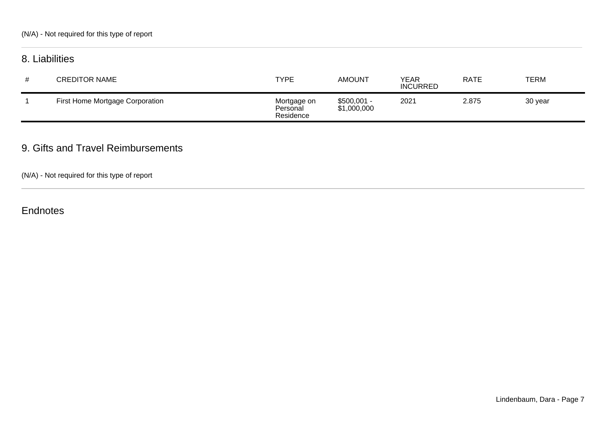## 8. Liabilities

| # | <b>CREDITOR NAME</b>            | <b>TYPE</b>                          | <b>AMOUNT</b>               | YEAR<br><b>INCURRED</b> | <b>RATE</b> | <b>TERM</b> |
|---|---------------------------------|--------------------------------------|-----------------------------|-------------------------|-------------|-------------|
|   | First Home Mortgage Corporation | Mortgage on<br>Personal<br>Residence | $$500,001 -$<br>\$1,000,000 | 2021                    | 2.875       | 30 year     |

### 9. Gifts and Travel Reimbursements

(N/A) - Not required for this type of report

**Endnotes**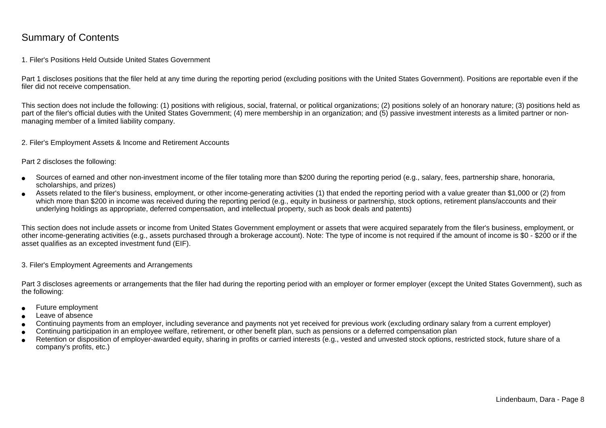### Summary of Contents

#### 1. Filer's Positions Held Outside United States Government

Part 1 discloses positions that the filer held at any time during the reporting period (excluding positions with the United States Government). Positions are reportable even if the filer did not receive compensation.

This section does not include the following: (1) positions with religious, social, fraternal, or political organizations; (2) positions solely of an honorary nature; (3) positions held aspart of the filer's official duties with the United States Government; (4) mere membership in an organization; and (5) passive investment interests as a limited partner or nonmanaging member of a limited liability company.

2. Filer's Employment Assets & Income and Retirement Accounts

Part 2 discloses the following:

- ●Sources of earned and other non-investment income of the filer totaling more than \$200 during the reporting period (e.g., salary, fees, partnership share, honoraria,scholarships, and prizes)
- ● Assets related to the filer's business, employment, or other income-generating activities (1) that ended the reporting period with a value greater than \$1,000 or (2) fromwhich more than \$200 in income was received during the reporting period (e.g., equity in business or partnership, stock options, retirement plans/accounts and their underlying holdings as appropriate, deferred compensation, and intellectual property, such as book deals and patents)

This section does not include assets or income from United States Government employment or assets that were acquired separately from the filer's business, employment, or other income-generating activities (e.g., assets purchased through a brokerage account). Note: The type of income is not required if the amount of income is \$0 - \$200 or if theasset qualifies as an excepted investment fund (EIF).

3. Filer's Employment Agreements and Arrangements

Part 3 discloses agreements or arrangements that the filer had during the reporting period with an employer or former employer (except the United States Government), such as the following:

- ●Future employment
- ●Leave of absence
- ●Continuing payments from an employer, including severance and payments not yet received for previous work (excluding ordinary salary from a current employer)
- ●Continuing participation in an employee welfare, retirement, or other benefit plan, such as pensions or a deferred compensation plan
- ● Retention or disposition of employer-awarded equity, sharing in profits or carried interests (e.g., vested and unvested stock options, restricted stock, future share of acompany's profits, etc.)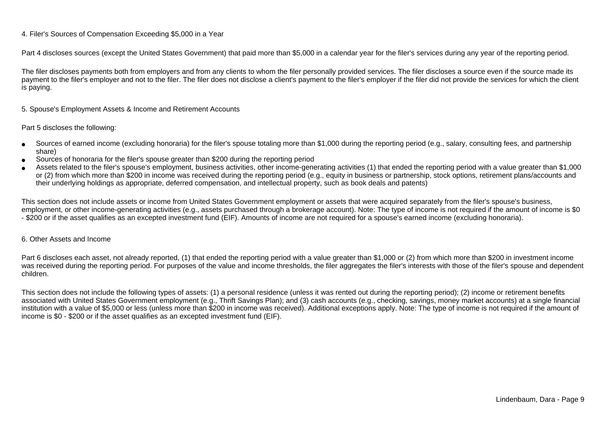#### 4. Filer's Sources of Compensation Exceeding \$5,000 in a Year

Part 4 discloses sources (except the United States Government) that paid more than \$5,000 in a calendar year for the filer's services during any year of the reporting period.

The filer discloses payments both from employers and from any clients to whom the filer personally provided services. The filer discloses a source even if the source made itspayment to the filer's employer and not to the filer. The filer does not disclose a client's payment to the filer's employer if the filer did not provide the services for which the client is paying.

5. Spouse's Employment Assets & Income and Retirement Accounts

#### Part 5 discloses the following:

- ●Sources of earned income (excluding honoraria) for the filer's spouse totaling more than \$1,000 during the reporting period (e.g., salary, consulting fees, and partnershipshare)
- ●Sources of honoraria for the filer's spouse greater than \$200 during the reporting period
- ● Assets related to the filer's spouse's employment, business activities, other income-generating activities (1) that ended the reporting period with a value greater than \$1,000or (2) from which more than \$200 in income was received during the reporting period (e.g., equity in business or partnership, stock options, retirement plans/accounts and their underlying holdings as appropriate, deferred compensation, and intellectual property, such as book deals and patents)

This section does not include assets or income from United States Government employment or assets that were acquired separately from the filer's spouse's business,employment, or other income-generating activities (e.g., assets purchased through a brokerage account). Note: The type of income is not required if the amount of income is \$0 - \$200 or if the asset qualifies as an excepted investment fund (EIF). Amounts of income are not required for a spouse's earned income (excluding honoraria).

#### 6. Other Assets and Income

Part 6 discloses each asset, not already reported, (1) that ended the reporting period with a value greater than \$1,000 or (2) from which more than \$200 in investment income was received during the reporting period. For purposes of the value and income thresholds, the filer aggregates the filer's interests with those of the filer's spouse and dependentchildren.

This section does not include the following types of assets: (1) a personal residence (unless it was rented out during the reporting period); (2) income or retirement benefits associated with United States Government employment (e.g., Thrift Savings Plan); and (3) cash accounts (e.g., checking, savings, money market accounts) at a single financial institution with a value of \$5,000 or less (unless more than \$200 in income was received). Additional exceptions apply. Note: The type of income is not required if the amount ofincome is \$0 - \$200 or if the asset qualifies as an excepted investment fund (EIF).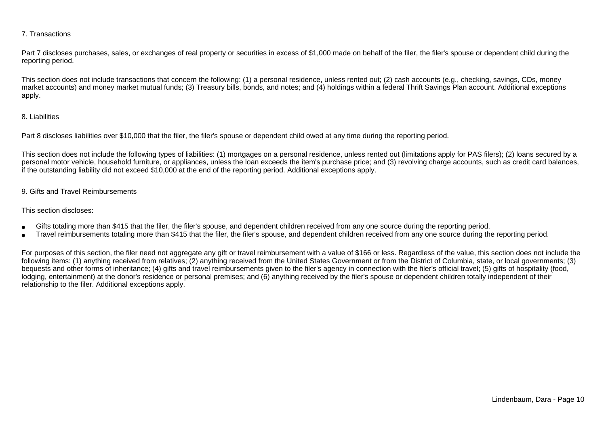#### 7. Transactions

Part 7 discloses purchases, sales, or exchanges of real property or securities in excess of \$1,000 made on behalf of the filer, the filer's spouse or dependent child during the reporting period.

This section does not include transactions that concern the following: (1) a personal residence, unless rented out; (2) cash accounts (e.g., checking, savings, CDs, money market accounts) and money market mutual funds; (3) Treasury bills, bonds, and notes; and (4) holdings within a federal Thrift Savings Plan account. Additional exceptionsapply.

#### 8. Liabilities

Part 8 discloses liabilities over \$10,000 that the filer, the filer's spouse or dependent child owed at any time during the reporting period.

This section does not include the following types of liabilities: (1) mortgages on a personal residence, unless rented out (limitations apply for PAS filers); (2) loans secured by a personal motor vehicle, household furniture, or appliances, unless the loan exceeds the item's purchase price; and (3) revolving charge accounts, such as credit card balances,if the outstanding liability did not exceed \$10,000 at the end of the reporting period. Additional exceptions apply.

#### 9. Gifts and Travel Reimbursements

#### This section discloses:

- ●Gifts totaling more than \$415 that the filer, the filer's spouse, and dependent children received from any one source during the reporting period.
- ●Travel reimbursements totaling more than \$415 that the filer, the filer's spouse, and dependent children received from any one source during the reporting period.

For purposes of this section, the filer need not aggregate any gift or travel reimbursement with a value of \$166 or less. Regardless of the value, this section does not include the following items: (1) anything received from relatives; (2) anything received from the United States Government or from the District of Columbia, state, or local governments; (3)bequests and other forms of inheritance; (4) gifts and travel reimbursements given to the filer's agency in connection with the filer's official travel; (5) gifts of hospitality (food,lodging, entertainment) at the donor's residence or personal premises; and (6) anything received by the filer's spouse or dependent children totally independent of theirrelationship to the filer. Additional exceptions apply.